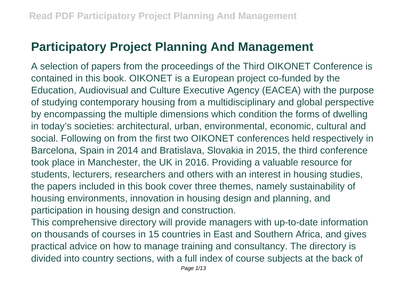## **Participatory Project Planning And Management**

A selection of papers from the proceedings of the Third OIKONET Conference is contained in this book. OIKONET is a European project co-funded by the Education, Audiovisual and Culture Executive Agency (EACEA) with the purpose of studying contemporary housing from a multidisciplinary and global perspective by encompassing the multiple dimensions which condition the forms of dwelling in today's societies: architectural, urban, environmental, economic, cultural and social. Following on from the first two OIKONET conferences held respectively in Barcelona, Spain in 2014 and Bratislava, Slovakia in 2015, the third conference took place in Manchester, the UK in 2016. Providing a valuable resource for students, lecturers, researchers and others with an interest in housing studies, the papers included in this book cover three themes, namely sustainability of housing environments, innovation in housing design and planning, and participation in housing design and construction.

This comprehensive directory will provide managers with up-to-date information on thousands of courses in 15 countries in East and Southern Africa, and gives practical advice on how to manage training and consultancy. The directory is divided into country sections, with a full index of course subjects at the back of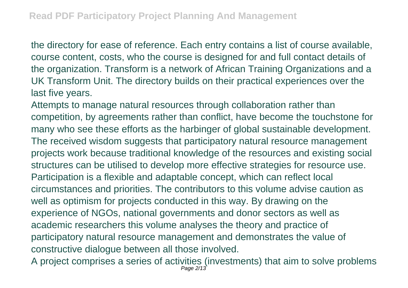the directory for ease of reference. Each entry contains a list of course available, course content, costs, who the course is designed for and full contact details of the organization. Transform is a network of African Training Organizations and a UK Transform Unit. The directory builds on their practical experiences over the last five years.

Attempts to manage natural resources through collaboration rather than competition, by agreements rather than conflict, have become the touchstone for many who see these efforts as the harbinger of global sustainable development. The received wisdom suggests that participatory natural resource management projects work because traditional knowledge of the resources and existing social structures can be utilised to develop more effective strategies for resource use. Participation is a flexible and adaptable concept, which can reflect local circumstances and priorities. The contributors to this volume advise caution as well as optimism for projects conducted in this way. By drawing on the experience of NGOs, national governments and donor sectors as well as academic researchers this volume analyses the theory and practice of participatory natural resource management and demonstrates the value of constructive dialogue between all those involved.

A project comprises a series of activities (investments) that aim to solve problems Page 2/13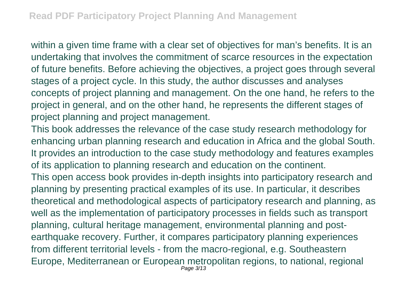within a given time frame with a clear set of objectives for man's benefits. It is an undertaking that involves the commitment of scarce resources in the expectation of future benefits. Before achieving the objectives, a project goes through several stages of a project cycle. In this study, the author discusses and analyses concepts of project planning and management. On the one hand, he refers to the project in general, and on the other hand, he represents the different stages of project planning and project management.

This book addresses the relevance of the case study research methodology for enhancing urban planning research and education in Africa and the global South. It provides an introduction to the case study methodology and features examples of its application to planning research and education on the continent. This open access book provides in-depth insights into participatory research and planning by presenting practical examples of its use. In particular, it describes theoretical and methodological aspects of participatory research and planning, as well as the implementation of participatory processes in fields such as transport planning, cultural heritage management, environmental planning and postearthquake recovery. Further, it compares participatory planning experiences from different territorial levels - from the macro-regional, e.g. Southeastern Europe, Mediterranean or European metropolitan regions, to national, regional Page 3/13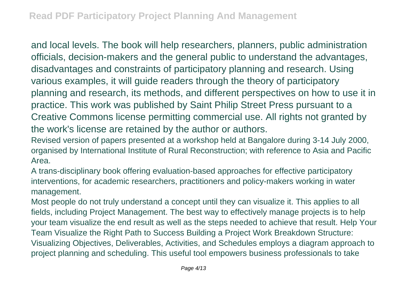and local levels. The book will help researchers, planners, public administration officials, decision-makers and the general public to understand the advantages, disadvantages and constraints of participatory planning and research. Using various examples, it will guide readers through the theory of participatory planning and research, its methods, and different perspectives on how to use it in practice. This work was published by Saint Philip Street Press pursuant to a Creative Commons license permitting commercial use. All rights not granted by the work's license are retained by the author or authors.

Revised version of papers presented at a workshop held at Bangalore during 3-14 July 2000, organised by International Institute of Rural Reconstruction; with reference to Asia and Pacific Area.

A trans-disciplinary book offering evaluation-based approaches for effective participatory interventions, for academic researchers, practitioners and policy-makers working in water management.

Most people do not truly understand a concept until they can visualize it. This applies to all fields, including Project Management. The best way to effectively manage projects is to help your team visualize the end result as well as the steps needed to achieve that result. Help Your Team Visualize the Right Path to Success Building a Project Work Breakdown Structure: Visualizing Objectives, Deliverables, Activities, and Schedules employs a diagram approach to project planning and scheduling. This useful tool empowers business professionals to take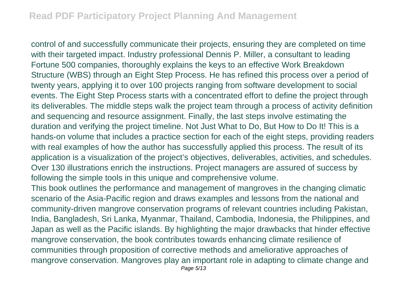control of and successfully communicate their projects, ensuring they are completed on time with their targeted impact. Industry professional Dennis P. Miller, a consultant to leading Fortune 500 companies, thoroughly explains the keys to an effective Work Breakdown Structure (WBS) through an Eight Step Process. He has refined this process over a period of twenty years, applying it to over 100 projects ranging from software development to social events. The Eight Step Process starts with a concentrated effort to define the project through its deliverables. The middle steps walk the project team through a process of activity definition and sequencing and resource assignment. Finally, the last steps involve estimating the duration and verifying the project timeline. Not Just What to Do, But How to Do It! This is a hands-on volume that includes a practice section for each of the eight steps, providing readers with real examples of how the author has successfully applied this process. The result of its application is a visualization of the project's objectives, deliverables, activities, and schedules. Over 130 illustrations enrich the instructions. Project managers are assured of success by following the simple tools in this unique and comprehensive volume.

This book outlines the performance and management of mangroves in the changing climatic scenario of the Asia-Pacific region and draws examples and lessons from the national and community-driven mangrove conservation programs of relevant countries including Pakistan, India, Bangladesh, Sri Lanka, Myanmar, Thailand, Cambodia, Indonesia, the Philippines, and Japan as well as the Pacific islands. By highlighting the major drawbacks that hinder effective mangrove conservation, the book contributes towards enhancing climate resilience of communities through proposition of corrective methods and ameliorative approaches of mangrove conservation. Mangroves play an important role in adapting to climate change and Page 5/13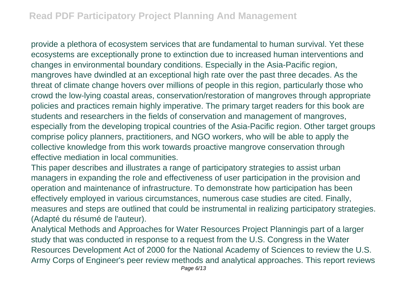provide a plethora of ecosystem services that are fundamental to human survival. Yet these ecosystems are exceptionally prone to extinction due to increased human interventions and changes in environmental boundary conditions. Especially in the Asia-Pacific region, mangroves have dwindled at an exceptional high rate over the past three decades. As the threat of climate change hovers over millions of people in this region, particularly those who crowd the low-lying coastal areas, conservation/restoration of mangroves through appropriate policies and practices remain highly imperative. The primary target readers for this book are students and researchers in the fields of conservation and management of mangroves, especially from the developing tropical countries of the Asia-Pacific region. Other target groups comprise policy planners, practitioners, and NGO workers, who will be able to apply the collective knowledge from this work towards proactive mangrove conservation through effective mediation in local communities.

This paper describes and illustrates a range of participatory strategies to assist urban managers in expanding the role and effectiveness of user participation in the provision and operation and maintenance of infrastructure. To demonstrate how participation has been effectively employed in various circumstances, numerous case studies are cited. Finally, measures and steps are outlined that could be instrumental in realizing participatory strategies. (Adapté du résumé de l'auteur).

Analytical Methods and Approaches for Water Resources Project Planningis part of a larger study that was conducted in response to a request from the U.S. Congress in the Water Resources Development Act of 2000 for the National Academy of Sciences to review the U.S. Army Corps of Engineer's peer review methods and analytical approaches. This report reviews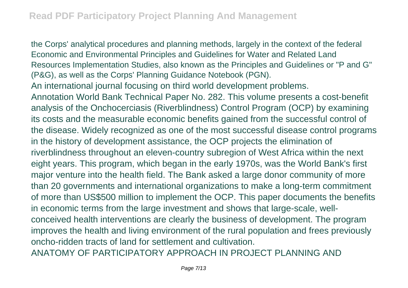the Corps' analytical procedures and planning methods, largely in the context of the federal Economic and Environmental Principles and Guidelines for Water and Related Land Resources Implementation Studies, also known as the Principles and Guidelines or "P and G" (P&G), as well as the Corps' Planning Guidance Notebook (PGN). An international journal focusing on third world development problems. Annotation World Bank Technical Paper No. 282. This volume presents a cost-benefit analysis of the Onchocerciasis (Riverblindness) Control Program (OCP) by examining its costs and the measurable economic benefits gained from the successful control of the disease. Widely recognized as one of the most successful disease control programs in the history of development assistance, the OCP projects the elimination of riverblindness throughout an eleven-country subregion of West Africa within the next eight years. This program, which began in the early 1970s, was the World Bank's first major venture into the health field. The Bank asked a large donor community of more than 20 governments and international organizations to make a long-term commitment of more than US\$500 million to implement the OCP. This paper documents the benefits in economic terms from the large investment and shows that large-scale, wellconceived health interventions are clearly the business of development. The program improves the health and living environment of the rural population and frees previously oncho-ridden tracts of land for settlement and cultivation. ANATOMY OF PARTICIPATORY APPROACH IN PROJECT PLANNING AND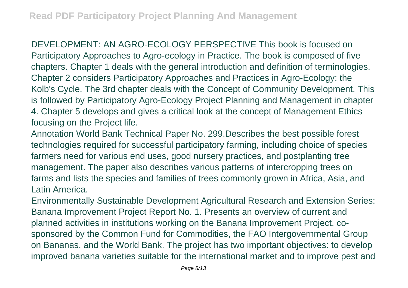DEVELOPMENT: AN AGRO-ECOLOGY PERSPECTIVE This book is focused on Participatory Approaches to Agro-ecology in Practice. The book is composed of five chapters. Chapter 1 deals with the general introduction and definition of terminologies. Chapter 2 considers Participatory Approaches and Practices in Agro-Ecology: the Kolb's Cycle. The 3rd chapter deals with the Concept of Community Development. This is followed by Participatory Agro-Ecology Project Planning and Management in chapter 4. Chapter 5 develops and gives a critical look at the concept of Management Ethics focusing on the Project life.

Annotation World Bank Technical Paper No. 299.Describes the best possible forest technologies required for successful participatory farming, including choice of species farmers need for various end uses, good nursery practices, and postplanting tree management. The paper also describes various patterns of intercropping trees on farms and lists the species and families of trees commonly grown in Africa, Asia, and Latin America.

Environmentally Sustainable Development Agricultural Research and Extension Series: Banana Improvement Project Report No. 1. Presents an overview of current and planned activities in institutions working on the Banana Improvement Project, cosponsored by the Common Fund for Commodities, the FAO Intergovernmental Group on Bananas, and the World Bank. The project has two important objectives: to develop improved banana varieties suitable for the international market and to improve pest and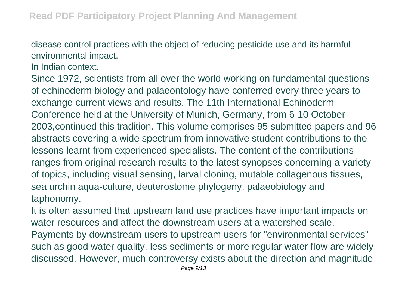disease control practices with the object of reducing pesticide use and its harmful environmental impact.

In Indian context.

Since 1972, scientists from all over the world working on fundamental questions of echinoderm biology and palaeontology have conferred every three years to exchange current views and results. The 11th International Echinoderm Conference held at the University of Munich, Germany, from 6-10 October 2003,continued this tradition. This volume comprises 95 submitted papers and 96 abstracts covering a wide spectrum from innovative student contributions to the lessons learnt from experienced specialists. The content of the contributions ranges from original research results to the latest synopses concerning a variety of topics, including visual sensing, larval cloning, mutable collagenous tissues, sea urchin aqua-culture, deuterostome phylogeny, palaeobiology and taphonomy.

It is often assumed that upstream land use practices have important impacts on water resources and affect the downstream users at a watershed scale,

Payments by downstream users to upstream users for "environmental services" such as good water quality, less sediments or more regular water flow are widely discussed. However, much controversy exists about the direction and magnitude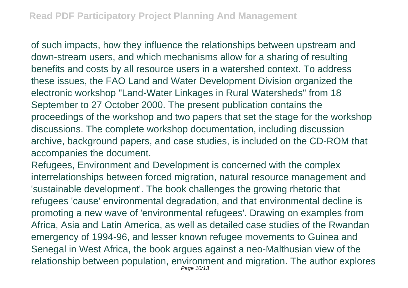of such impacts, how they influence the relationships between upstream and down-stream users, and which mechanisms allow for a sharing of resulting benefits and costs by all resource users in a watershed context. To address these issues, the FAO Land and Water Development Division organized the electronic workshop "Land-Water Linkages in Rural Watersheds" from 18 September to 27 October 2000. The present publication contains the proceedings of the workshop and two papers that set the stage for the workshop discussions. The complete workshop documentation, including discussion archive, background papers, and case studies, is included on the CD-ROM that accompanies the document.

Refugees, Environment and Development is concerned with the complex interrelationships between forced migration, natural resource management and 'sustainable development'. The book challenges the growing rhetoric that refugees 'cause' environmental degradation, and that environmental decline is promoting a new wave of 'environmental refugees'. Drawing on examples from Africa, Asia and Latin America, as well as detailed case studies of the Rwandan emergency of 1994-96, and lesser known refugee movements to Guinea and Senegal in West Africa, the book argues against a neo-Malthusian view of the relationship between population, environment and migration. The author explores Page 10/13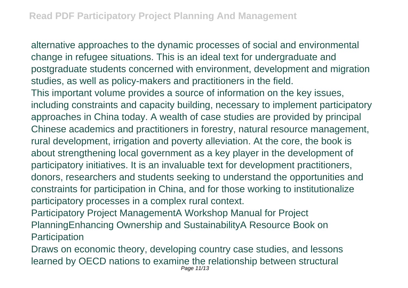alternative approaches to the dynamic processes of social and environmental change in refugee situations. This is an ideal text for undergraduate and postgraduate students concerned with environment, development and migration studies, as well as policy-makers and practitioners in the field. This important volume provides a source of information on the key issues, including constraints and capacity building, necessary to implement participatory approaches in China today. A wealth of case studies are provided by principal Chinese academics and practitioners in forestry, natural resource management, rural development, irrigation and poverty alleviation. At the core, the book is about strengthening local government as a key player in the development of participatory initiatives. It is an invaluable text for development practitioners, donors, researchers and students seeking to understand the opportunities and constraints for participation in China, and for those working to institutionalize participatory processes in a complex rural context.

Participatory Project ManagementA Workshop Manual for Project PlanningEnhancing Ownership and SustainabilityA Resource Book on **Participation** 

Draws on economic theory, developing country case studies, and lessons learned by OECD nations to examine the relationship between structural Page 11/13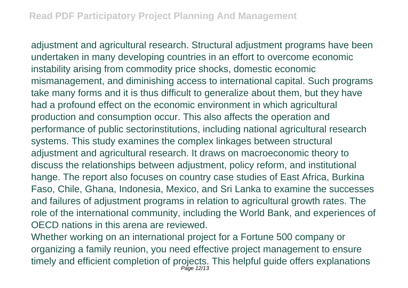adjustment and agricultural research. Structural adjustment programs have been undertaken in many developing countries in an effort to overcome economic instability arising from commodity price shocks, domestic economic mismanagement, and diminishing access to international capital. Such programs take many forms and it is thus difficult to generalize about them, but they have had a profound effect on the economic environment in which agricultural production and consumption occur. This also affects the operation and performance of public sectorinstitutions, including national agricultural research systems. This study examines the complex linkages between structural adjustment and agricultural research. It draws on macroeconomic theory to discuss the relationships between adjustment, policy reform, and institutional hange. The report also focuses on country case studies of East Africa, Burkina Faso, Chile, Ghana, Indonesia, Mexico, and Sri Lanka to examine the successes and failures of adjustment programs in relation to agricultural growth rates. The role of the international community, including the World Bank, and experiences of OECD nations in this arena are reviewed.

Whether working on an international project for a Fortune 500 company or organizing a family reunion, you need effective project management to ensure timely and efficient completion of projects. This helpful guide offers explanations Page 12/13